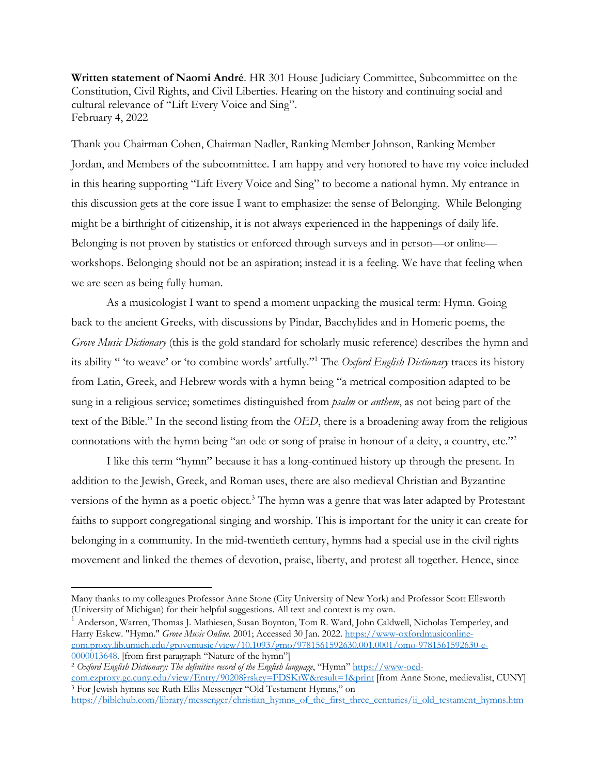**Written statement of Naomi André**. HR 301 House Judiciary Committee, Subcommittee on the Constitution, Civil Rights, and Civil Liberties. Hearing on the history and continuing social and cultural relevance of "Lift Every Voice and Sing". February 4, 2022

Thank you Chairman Cohen, Chairman Nadler, Ranking Member Johnson, Ranking Member Jordan, and Members of the subcommittee. I am happy and very honored to have my voice included in this hearing supporting "Lift Every Voice and Sing" to become a national hymn. My entrance in this discussion gets at the core issue I want to emphasize: the sense of Belonging. While Belonging might be a birthright of citizenship, it is not always experienced in the happenings of daily life. Belonging is not proven by statistics or enforced through surveys and in person—or online workshops. Belonging should not be an aspiration; instead it is a feeling. We have that feeling when we are seen as being fully human.

As a musicologist I want to spend a moment unpacking the musical term: Hymn. Going back to the ancient Greeks, with discussions by Pindar, Bacchylides and in Homeric poems, the *Grove Music Dictionary* (this is the gold standard for scholarly music reference) describes the hymn and its ability " 'to weave' or 'to combine words' artfully."1 The *Oxford English Dictionary* traces its history from Latin, Greek, and Hebrew words with a hymn being "a metrical composition adapted to be sung in a religious service; sometimes distinguished from *psalm* or *anthem*, as not being part of the text of the Bible." In the second listing from the *OED*, there is a broadening away from the religious connotations with the hymn being "an ode or song of praise in honour of a deity, a country, etc."2

I like this term "hymn" because it has a long-continued history up through the present. In addition to the Jewish, Greek, and Roman uses, there are also medieval Christian and Byzantine versions of the hymn as a poetic object.<sup>3</sup> The hymn was a genre that was later adapted by Protestant faiths to support congregational singing and worship. This is important for the unity it can create for belonging in a community. In the mid-twentieth century, hymns had a special use in the civil rights movement and linked the themes of devotion, praise, liberty, and protest all together. Hence, since

 $^1$  Anderson, Warren, Thomas J. Mathiesen, Susan Boynton, Tom R. Ward, John Caldwell, Nicholas Temperley, and Harry Eskew. "Hymn." *Grove Music Online*. 2001; Accessed 30 Jan. 2022. https://www-oxfordmusiconlinecom.proxy.lib.umich.edu/grovemusic/view/10.1093/gmo/9781561592630.001.0001/omo-9781561592630-e-0000013648. [from first paragraph "Nature of the hymn"]

Many thanks to my colleagues Professor Anne Stone (City University of New York) and Professor Scott Ellsworth (University of Michigan) for their helpful suggestions. All text and context is my own.

<sup>&</sup>lt;sup>2</sup> Oxford English Dictionary: The definitive record of the English language, "Hymn" https://www-oed-

com.ezproxy.gc.cuny.edu/view/Entry/90208?rskey=FDSKtW&result=1&print [from Anne Stone, medievalist, CUNY] <sup>3</sup> For Jewish hymns see Ruth Ellis Messenger "Old Testament Hymns," on

https://biblehub.com/library/messenger/christian\_hymns\_of\_the\_first\_three\_centuries/ii\_old\_testament\_hymns.htm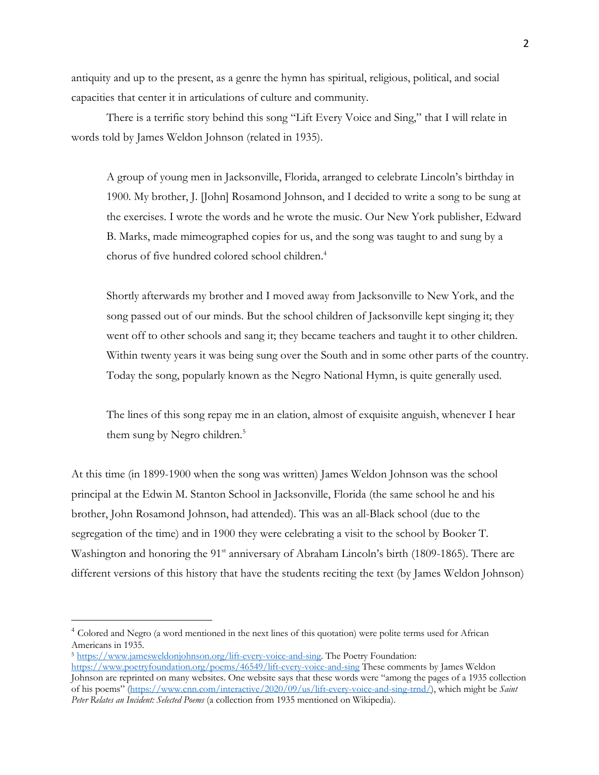antiquity and up to the present, as a genre the hymn has spiritual, religious, political, and social capacities that center it in articulations of culture and community.

There is a terrific story behind this song "Lift Every Voice and Sing," that I will relate in words told by James Weldon Johnson (related in 1935).

A group of young men in Jacksonville, Florida, arranged to celebrate Lincoln's birthday in 1900. My brother, J. [John] Rosamond Johnson, and I decided to write a song to be sung at the exercises. I wrote the words and he wrote the music. Our New York publisher, Edward B. Marks, made mimeographed copies for us, and the song was taught to and sung by a chorus of five hundred colored school children.4

Shortly afterwards my brother and I moved away from Jacksonville to New York, and the song passed out of our minds. But the school children of Jacksonville kept singing it; they went off to other schools and sang it; they became teachers and taught it to other children. Within twenty years it was being sung over the South and in some other parts of the country. Today the song, popularly known as the Negro National Hymn, is quite generally used.

The lines of this song repay me in an elation, almost of exquisite anguish, whenever I hear them sung by Negro children.<sup>5</sup>

At this time (in 1899-1900 when the song was written) James Weldon Johnson was the school principal at the Edwin M. Stanton School in Jacksonville, Florida (the same school he and his brother, John Rosamond Johnson, had attended). This was an all-Black school (due to the segregation of the time) and in 1900 they were celebrating a visit to the school by Booker T. Washington and honoring the 91<sup>st</sup> anniversary of Abraham Lincoln's birth (1809-1865). There are different versions of this history that have the students reciting the text (by James Weldon Johnson)

<sup>4</sup> Colored and Negro (a word mentioned in the next lines of this quotation) were polite terms used for African Americans in 1935.

<sup>5</sup> https://www.jamesweldonjohnson.org/lift-every-voice-and-sing. The Poetry Foundation:

https://www.poetryfoundation.org/poems/46549/lift-every-voice-and-sing These comments by James Weldon Johnson are reprinted on many websites. One website says that these words were "among the pages of a 1935 collection of his poems" (https://www.cnn.com/interactive/2020/09/us/lift-every-voice-and-sing-trnd/), which might be *Saint Peter Relates an Incident: Selected Poems* (a collection from 1935 mentioned on Wikipedia).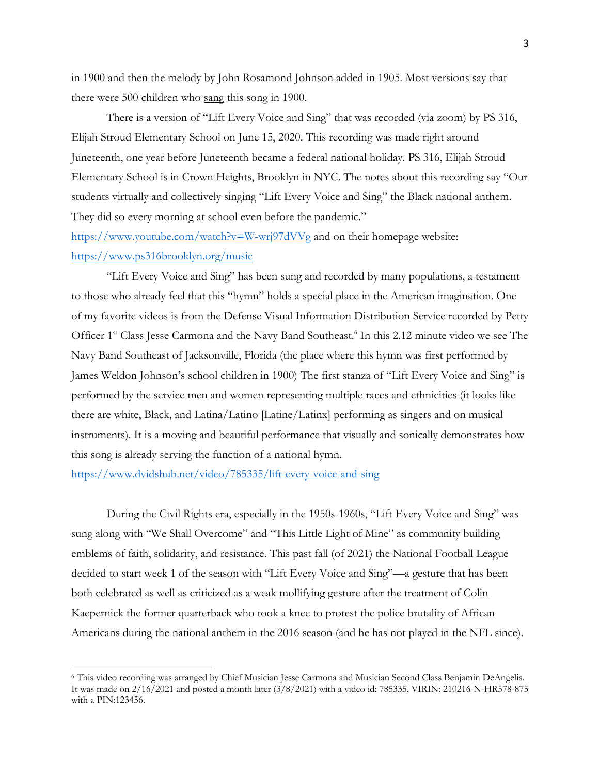in 1900 and then the melody by John Rosamond Johnson added in 1905. Most versions say that there were 500 children who sang this song in 1900.

There is a version of "Lift Every Voice and Sing" that was recorded (via zoom) by PS 316, Elijah Stroud Elementary School on June 15, 2020. This recording was made right around Juneteenth, one year before Juneteenth became a federal national holiday. PS 316, Elijah Stroud Elementary School is in Crown Heights, Brooklyn in NYC. The notes about this recording say "Our students virtually and collectively singing "Lift Every Voice and Sing" the Black national anthem. They did so every morning at school even before the pandemic."

https://www.youtube.com/watch?v=W-wrj97dVVg and on their homepage website: https://www.ps316brooklyn.org/music

"Lift Every Voice and Sing" has been sung and recorded by many populations, a testament to those who already feel that this "hymn" holds a special place in the American imagination. One of my favorite videos is from the Defense Visual Information Distribution Service recorded by Petty Officer 1<sup>st</sup> Class Jesse Carmona and the Navy Band Southeast.<sup>6</sup> In this 2.12 minute video we see The Navy Band Southeast of Jacksonville, Florida (the place where this hymn was first performed by James Weldon Johnson's school children in 1900) The first stanza of "Lift Every Voice and Sing" is performed by the service men and women representing multiple races and ethnicities (it looks like there are white, Black, and Latina/Latino [Latine/Latinx] performing as singers and on musical instruments). It is a moving and beautiful performance that visually and sonically demonstrates how this song is already serving the function of a national hymn.

https://www.dvidshub.net/video/785335/lift-every-voice-and-sing

During the Civil Rights era, especially in the 1950s-1960s, "Lift Every Voice and Sing" was sung along with "We Shall Overcome" and "This Little Light of Mine" as community building emblems of faith, solidarity, and resistance. This past fall (of 2021) the National Football League decided to start week 1 of the season with "Lift Every Voice and Sing"—a gesture that has been both celebrated as well as criticized as a weak mollifying gesture after the treatment of Colin Kaepernick the former quarterback who took a knee to protest the police brutality of African Americans during the national anthem in the 2016 season (and he has not played in the NFL since).

<sup>6</sup> This video recording was arranged by Chief Musician Jesse Carmona and Musician Second Class Benjamin DeAngelis. It was made on 2/16/2021 and posted a month later (3/8/2021) with a video id: 785335, VIRIN: 210216-N-HR578-875 with a PIN:123456.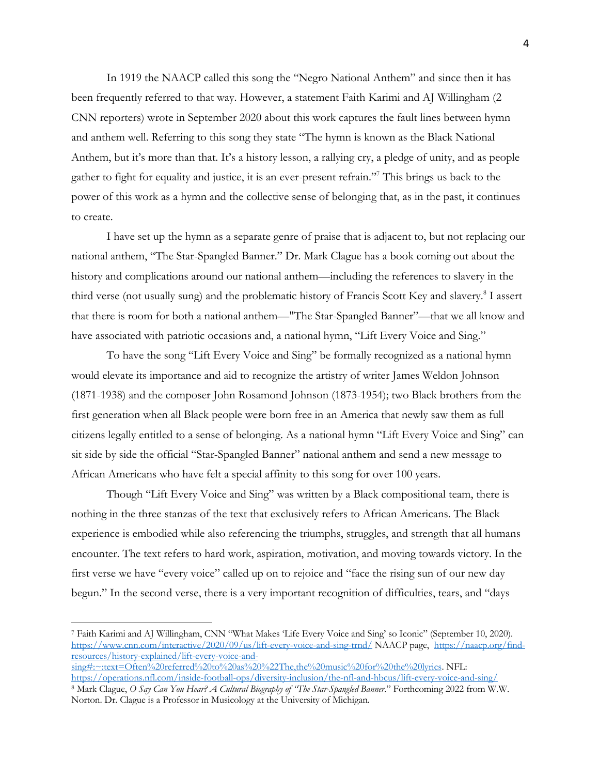In 1919 the NAACP called this song the "Negro National Anthem" and since then it has been frequently referred to that way. However, a statement Faith Karimi and AJ Willingham (2 CNN reporters) wrote in September 2020 about this work captures the fault lines between hymn and anthem well. Referring to this song they state "The hymn is known as the Black National Anthem, but it's more than that. It's a history lesson, a rallying cry, a pledge of unity, and as people gather to fight for equality and justice, it is an ever-present refrain."7 This brings us back to the power of this work as a hymn and the collective sense of belonging that, as in the past, it continues to create.

I have set up the hymn as a separate genre of praise that is adjacent to, but not replacing our national anthem, "The Star-Spangled Banner." Dr. Mark Clague has a book coming out about the history and complications around our national anthem—including the references to slavery in the third verse (not usually sung) and the problematic history of Francis Scott Key and slavery. <sup>8</sup> I assert that there is room for both a national anthem—"The Star-Spangled Banner"—that we all know and have associated with patriotic occasions and, a national hymn, "Lift Every Voice and Sing."

To have the song "Lift Every Voice and Sing" be formally recognized as a national hymn would elevate its importance and aid to recognize the artistry of writer James Weldon Johnson (1871-1938) and the composer John Rosamond Johnson (1873-1954); two Black brothers from the first generation when all Black people were born free in an America that newly saw them as full citizens legally entitled to a sense of belonging. As a national hymn "Lift Every Voice and Sing" can sit side by side the official "Star-Spangled Banner" national anthem and send a new message to African Americans who have felt a special affinity to this song for over 100 years.

Though "Lift Every Voice and Sing" was written by a Black compositional team, there is nothing in the three stanzas of the text that exclusively refers to African Americans. The Black experience is embodied while also referencing the triumphs, struggles, and strength that all humans encounter. The text refers to hard work, aspiration, motivation, and moving towards victory. In the first verse we have "every voice" called up on to rejoice and "face the rising sun of our new day begun." In the second verse, there is a very important recognition of difficulties, tears, and "days

<sup>7</sup> Faith Karimi and AJ Willingham, CNN "What Makes 'Life Every Voice and Sing' so Iconic" (September 10, 2020). https://www.cnn.com/interactive/2020/09/us/lift-every-voice-and-sing-trnd/ NAACP page, https://naacp.org/findresources/history-explained/lift-every-voice-andsing#:~:text=Often%20referred%20to%20as%20%22The,the%20music%20for%20the%20lyrics. NFL:

https://operations.nfl.com/inside-football-ops/diversity-inclusion/the-nfl-and-hbcus/lift-every-voice-and-sing/ <sup>8</sup> Mark Clague, *O Say Can You Hear? A Cultural Biography of "The Star-Spangled Banner*." Forthcoming 2022 from W.W.